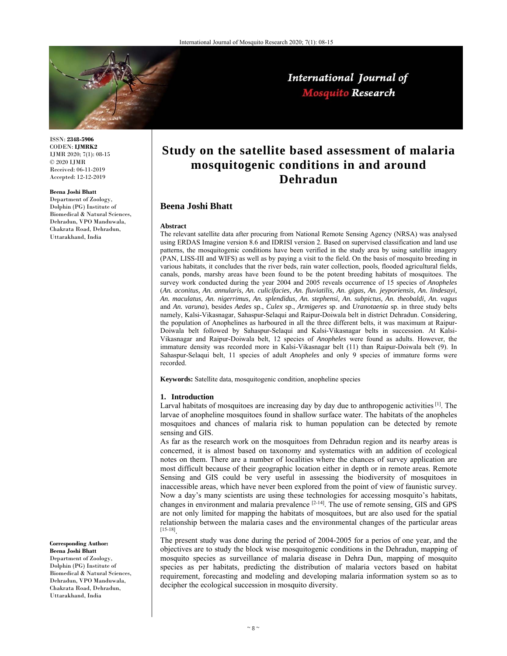

International Journal of **Mosquito Research** 

ISSN: **2348-5906** CODEN: **IJMRK2** IJMR 2020; 7(1): 08-15 © 2020 IJMR Received: 06-11-2019 Accepted: 12-12-2019

#### **Beena Joshi Bhatt**

Department of Zoology, Dolphin (PG) Institute of Biomedical & Natural Sciences, Dehradun, VPO Manduwala, Chakrata Road, Dehradun, Uttarakhand, India

# **Study on the satellite based assessment of malaria mosquitogenic conditions in and around Dehradun**

## **Beena Joshi Bhatt**

#### **Abstract**

The relevant satellite data after procuring from National Remote Sensing Agency (NRSA) was analysed using ERDAS Imagine version 8.6 and IDRISI version 2. Based on supervised classification and land use patterns, the mosquitogenic conditions have been verified in the study area by using satellite imagery (PAN, LISS-III and WIFS) as well as by paying a visit to the field. On the basis of mosquito breeding in various habitats, it concludes that the river beds, rain water collection, pools, flooded agricultural fields, canals, ponds, marshy areas have been found to be the potent breeding habitats of mosquitoes. The survey work conducted during the year 2004 and 2005 reveals occurrence of 15 species of *Anopheles*  (*An. aconitus, An. annularis, An. culicifacies, An. fluviatilis, An. gigas, An. jeyporiensis, An. lindesayi, An. maculatus, An. nigerrimus, An. splendidus, An. stephensi, An. subpictus, An. theobaldi, An. vagus* and *An. varuna*), besides *Aedes* sp., *Culex* sp., *Armigeres* sp. and *Uranotaenia* sp. in three study belts namely, Kalsi-Vikasnagar, Sahaspur-Selaqui and Raipur-Doiwala belt in district Dehradun. Considering, the population of Anophelines as harboured in all the three different belts, it was maximum at Raipur-Doiwala belt followed by Sahaspur-Selaqui and Kalsi-Vikasnagar belts in succession. At Kalsi-Vikasnagar and Raipur-Doiwala belt, 12 species of *Anopheles* were found as adults. However, the immature density was recorded more in Kalsi-Vikasnagar belt (11) than Raipur-Doiwala belt (9). In Sahaspur-Selaqui belt, 11 species of adult *Anopheles* and only 9 species of immature forms were recorded.

**Keywords:** Satellite data, mosquitogenic condition, anopheline species

## **1. Introduction**

Larval habitats of mosquitoes are increasing day by day due to anthropogenic activities <sup>[1]</sup>. The larvae of anopheline mosquitoes found in shallow surface water. The habitats of the anopheles mosquitoes and chances of malaria risk to human population can be detected by remote sensing and GIS.

As far as the research work on the mosquitoes from Dehradun region and its nearby areas is concerned, it is almost based on taxonomy and systematics with an addition of ecological notes on them. There are a number of localities where the chances of survey application are most difficult because of their geographic location either in depth or in remote areas. Remote Sensing and GIS could be very useful in assessing the biodiversity of mosquitoes in inaccessible areas, which have never been explored from the point of view of faunistic survey. Now a day's many scientists are using these technologies for accessing mosquito's habitats, changes in environment and malaria prevalence [2-14]. The use of remote sensing, GIS and GPS are not only limited for mapping the habitats of mosquitoes, but are also used for the spatial relationship between the malaria cases and the environmental changes of the particular areas [15-18].

The present study was done during the period of 2004-2005 for a perios of one year, and the objectives are to study the block wise mosquitogenic conditions in the Dehradun, mapping of mosquito species as surveillance of malaria disease in Dehra Dun, mapping of mosquito species as per habitats, predicting the distribution of malaria vectors based on habitat requirement, forecasting and modeling and developing malaria information system so as to decipher the ecological succession in mosquito diversity.

#### **Corresponding Author: Beena Joshi Bhatt**

Department of Zoology, Dolphin (PG) Institute of Biomedical & Natural Sciences, Dehradun, VPO Manduwala, Chakrata Road, Dehradun, Uttarakhand, India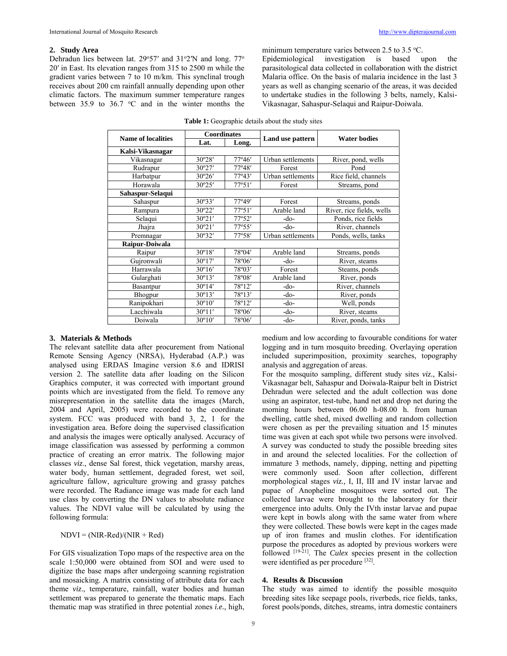### **2. Study Area**

Dehradun lies between lat. 29°57' and 31°2'N and long. 77° 20′ in East. Its elevation ranges from 315 to 2500 m while the gradient varies between 7 to 10 m/km. This synclinal trough receives about 200 cm rainfall annually depending upon other climatic factors. The maximum summer temperature ranges between  $35.9$  to  $36.7$  °C and in the winter months the

minimum temperature varies between  $2.5$  to  $3.5$  °C. Epidemiological investigation is based upon the parasitological data collected in collaboration with the district Malaria office. On the basis of malaria incidence in the last 3 years as well as changing scenario of the areas, it was decided to undertake studies in the following 3 belts, namely, Kalsi-

Vikasnagar, Sahaspur-Selaqui and Raipur-Doiwala.

| <b>Name of localities</b> | <b>Coordinates</b> |                 | Land use pattern  | <b>Water bodies</b>       |  |
|---------------------------|--------------------|-----------------|-------------------|---------------------------|--|
|                           | Lat.               | Long.           |                   |                           |  |
| Kalsi-Vikasnagar          |                    |                 |                   |                           |  |
| Vikasnagar                | 30°28'             | 77°46'          | Urban settlements | River, pond, wells        |  |
| Rudrapur                  | 30°27'             | 77°48'          | Forest            | Pond                      |  |
| Harbatpur                 | 30°26'             | $77^{\circ}43'$ | Urban settlements | Rice field, channels      |  |
| Horawala                  | 30°25'             | 77°51'          | Forest            | Streams, pond             |  |
| Sahaspur-Selaqui          |                    |                 |                   |                           |  |
| Sahaspur                  | 30°33'             | 77°49'          | Forest            | Streams, ponds            |  |
| Rampura                   | 30°22'             | 77°51'          | Arable land       | River, rice fields, wells |  |
| Selaqui                   | 30°21'             | 77°52'          | -do-              | Ponds, rice fields        |  |
| Jhajra                    | 30°21'             | 77°55'          | -do-              | River, channels           |  |
| Premnagar                 | 30°32'             | 77°58'          | Urban settlements | Ponds, wells, tanks       |  |
| Raipur-Doiwala            |                    |                 |                   |                           |  |
| Raipur                    | $30^{\circ}18'$    | 78°04'          | Arable land       | Streams, ponds            |  |
| Gujronwali                | $30^{\circ}17'$    | 78°06'          | -do-              | River, steams             |  |
| Harrawala                 | $30^{\circ}16'$    | 78°03'          | Forest            | Steams, ponds             |  |
| Gularghati                | $30^{\circ}13'$    | 78°08'          | Arable land       | River, ponds              |  |
| Basantpur                 | 30°14'             | 78°12'          | -do-              | River, channels           |  |
| Bhogpur                   | $30^{\circ}13'$    | 78°13'          | -do-              | River, ponds              |  |
| Ranipokhari               | $30^{\circ}10'$    | 78°12'          | -do-              | Well, ponds               |  |
| Lacchiwala                | $30^{\circ}11'$    | 78°06'          | -do-              | River, steams             |  |
| Doiwala                   | 30°10'             | 78°06'          | -do-              | River, ponds, tanks       |  |

## **3. Materials & Methods**

The relevant satellite data after procurement from National Remote Sensing Agency (NRSA), Hyderabad (A.P.) was analysed using ERDAS Imagine version 8.6 and IDRISI version 2. The satellite data after loading on the Silicon Graphics computer, it was corrected with important ground points which are investigated from the field. To remove any misrepresentation in the satellite data the images (March, 2004 and April, 2005) were recorded to the coordinate system. FCC was produced with band 3, 2, 1 for the investigation area. Before doing the supervised classification and analysis the images were optically analysed. Accuracy of image classification was assessed by performing a common practice of creating an error matrix. The following major classes *viz*., dense Sal forest, thick vegetation, marshy areas, water body, human settlement, degraded forest, wet soil, agriculture fallow, agriculture growing and grassy patches were recorded. The Radiance image was made for each land use class by converting the DN values to absolute radiance values. The NDVI value will be calculated by using the following formula:

 $NDVI = (NIR-Red)/(NIR + Red)$ 

For GIS visualization Topo maps of the respective area on the scale 1:50,000 were obtained from SOI and were used to digitize the base maps after undergoing scanning registration and mosaicking. A matrix consisting of attribute data for each theme *viz*., temperature, rainfall, water bodies and human settlement was prepared to generate the thematic maps. Each thematic map was stratified in three potential zones *i.e.,* high,

medium and low according to favourable conditions for water logging and in turn mosquito breeding. Overlaying operation included superimposition, proximity searches, topography analysis and aggregation of areas.

For the mosquito sampling, different study sites *viz.,* Kalsi-Vikasnagar belt, Sahaspur and Doiwala-Raipur belt in District Dehradun were selected and the adult collection was done using an aspirator, test-tube, hand net and drop net during the morning hours between 06.00 h-08.00 h. from human dwelling, cattle shed, mixed dwelling and random collection were chosen as per the prevailing situation and 15 minutes time was given at each spot while two persons were involved. A survey was conducted to study the possible breeding sites in and around the selected localities. For the collection of immature 3 methods, namely, dipping, netting and pipetting were commonly used. Soon after collection, different morphological stages *viz.,* I, II, III and IV instar larvae and pupae of Anopheline mosquitoes were sorted out. The collected larvae were brought to the laboratory for their emergence into adults. Only the IVth instar larvae and pupae were kept in bowls along with the same water from where they were collected. These bowls were kept in the cages made up of iron frames and muslin clothes. For identification purpose the procedures as adopted by previous workers were followed <sup>[19-21]</sup>. The *Culex* species present in the collection were identified as per procedure [32].

#### **4. Results & Discussion**

The study was aimed to identify the possible mosquito breeding sites like seepage pools, riverbeds, rice fields, tanks, forest pools/ponds, ditches, streams, intra domestic containers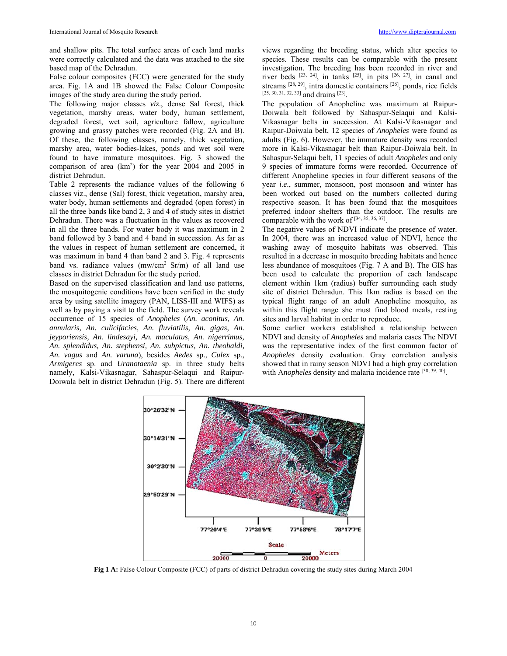and shallow pits. The total surface areas of each land marks were correctly calculated and the data was attached to the site based map of the Dehradun.

False colour composites (FCC) were generated for the study area. Fig. 1A and 1B showed the False Colour Composite images of the study area during the study period.

The following major classes *viz*., dense Sal forest, thick vegetation, marshy areas, water body, human settlement, degraded forest, wet soil, agriculture fallow, agriculture growing and grassy patches were recorded (Fig. 2A and B). Of these, the following classes, namely, thick vegetation, marshy area, water bodies-lakes, ponds and wet soil were found to have immature mosquitoes. Fig. 3 showed the comparison of area (km<sup>2</sup>) for the year 2004 and 2005 in district Dehradun.

Table 2 represents the radiance values of the following 6 classes viz., dense (Sal) forest, thick vegetation, marshy area, water body, human settlements and degraded (open forest) in all the three bands like band 2, 3 and 4 of study sites in district Dehradun. There was a fluctuation in the values as recovered in all the three bands. For water body it was maximum in 2 band followed by 3 band and 4 band in succession. As far as the values in respect of human settlement are concerned, it was maximum in band 4 than band 2 and 3. Fig. 4 represents band vs. radiance values (mw/cm<sup>2</sup> Sr/m) of all land use classes in district Dehradun for the study period.

Based on the supervised classification and land use patterns, the mosquitogenic conditions have been verified in the study area by using satellite imagery (PAN, LISS-III and WIFS) as well as by paying a visit to the field. The survey work reveals occurrence of 15 species of *Anopheles* (*An. aconitus, An. annularis, An. culicifacies, An. fluviatilis, An. gigas, An. jeyporiensis, An. lindesayi, An. maculatus, An. nigerrimus, An. splendidus, An. stephensi, An. subpictus, An. theobaldi, An. vagus* and *An. varuna*), besides *Aedes* sp., *Culex* sp., *Armigeres* sp. and *Uranotaenia* sp. in three study belts namely, Kalsi-Vikasnagar, Sahaspur-Selaqui and Raipur-Doiwala belt in district Dehradun (Fig. 5). There are different views regarding the breeding status, which alter species to species. These results can be comparable with the present investigation. The breeding has been recorded in river and river beds  $[23, 24]$ , in tanks  $[25]$ , in pits  $[26, 27]$ , in canal and streams  $[28, 29]$ , intra domestic containers  $[26]$ , ponds, rice fields [25, 30, 31, 32, 33] and drains <sup>[23]</sup>.

The population of Anopheline was maximum at Raipur-Doiwala belt followed by Sahaspur-Selaqui and Kalsi-Vikasnagar belts in succession. At Kalsi-Vikasnagar and Raipur-Doiwala belt, 12 species of *Anopheles* were found as adults (Fig. 6). However, the immature density was recorded more in Kalsi-Vikasnagar belt than Raipur-Doiwala belt. In Sahaspur-Selaqui belt, 11 species of adult *Anopheles* and only 9 species of immature forms were recorded. Occurrence of different Anopheline species in four different seasons of the year *i.e*., summer, monsoon, post monsoon and winter has been worked out based on the numbers collected during respective season. It has been found that the mosquitoes preferred indoor shelters than the outdoor. The results are comparable with the work of  $[34, 35, 36, 37]$ .

The negative values of NDVI indicate the presence of water. In 2004, there was an increased value of NDVI, hence the washing away of mosquito habitats was observed. This resulted in a decrease in mosquito breeding habitats and hence less abundance of mosquitoes (Fig. 7 A and B). The GIS has been used to calculate the proportion of each landscape element within 1km (radius) buffer surrounding each study site of district Dehradun. This 1km radius is based on the typical flight range of an adult Anopheline mosquito, as within this flight range she must find blood meals, resting sites and larval habitat in order to reproduce.

Some earlier workers established a relationship between NDVI and density of *Anopheles* and malaria cases The NDVI was the representative index of the first common factor of *Anopheles* density evaluation. Gray correlation analysis showed that in rainy season NDVI had a high gray correlation with Anopheles density and malaria incidence rate [38, 39, 40].



**Fig 1 A:** False Colour Composite (FCC) of parts of district Dehradun covering the study sites during March 2004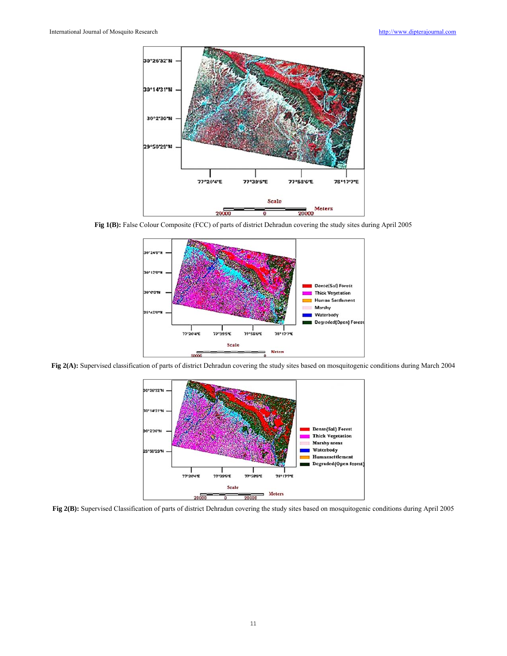

**Fig 1(B):** False Colour Composite (FCC) of parts of district Dehradun covering the study sites during April 2005



**Fig 2(A):** Supervised classification of parts of district Dehradun covering the study sites based on mosquitogenic conditions during March 2004



**Fig 2(B):** Supervised Classification of parts of district Dehradun covering the study sites based on mosquitogenic conditions during April 2005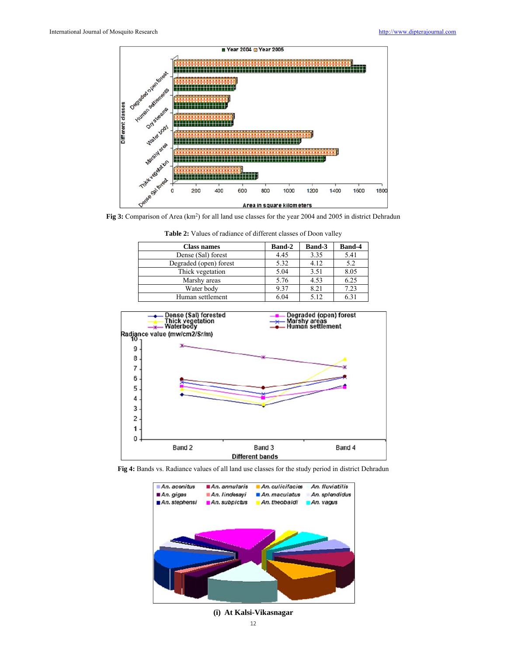

Fig 3: Comparison of Area (km<sup>2</sup>) for all land use classes for the year 2004 and 2005 in district Dehradun

| <b>Class names</b>     | <b>Band-2</b> | <b>Band-3</b> | <b>Band-4</b> |
|------------------------|---------------|---------------|---------------|
| Dense (Sal) forest     | 4.45          | 3.35          | 5.41          |
| Degraded (open) forest | 5.32          | 4.12          | 5.2           |
| Thick vegetation       | 5.04          | 3.51          | 8.05          |
| Marshy areas           | 5.76          | 4.53          | 6.25          |
| Water body             | 9.37          | 8.21          | 7.23          |
| Human settlement       | 6.04          | 5.12          | $6.3^{\circ}$ |

**Table 2:** Values of radiance of different classes of Doon valley



**Fig 4:** Bands vs. Radiance values of all land use classes for the study period in district Dehradun



**(i) At Kalsi-Vikasnagar**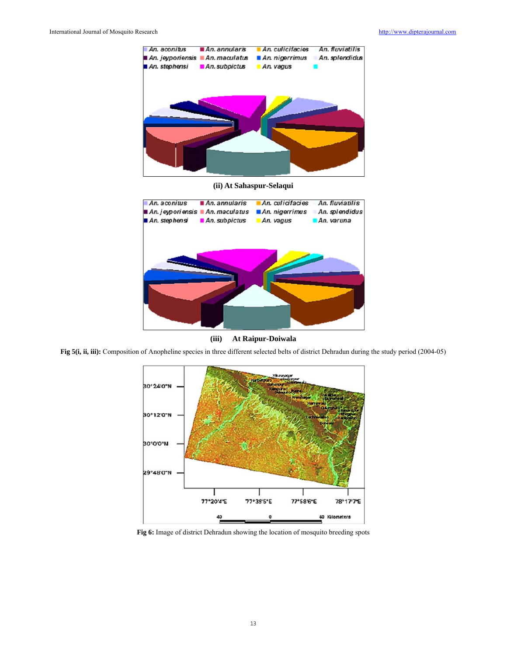

**(ii) At Sahaspur-Selaqui** 



**(iii) At Raipur-Doiwala** 

Fig 5(i, ii, iii): Composition of Anopheline species in three different selected belts of district Dehradun during the study period (2004-05)



**Fig 6:** Image of district Dehradun showing the location of mosquito breeding spots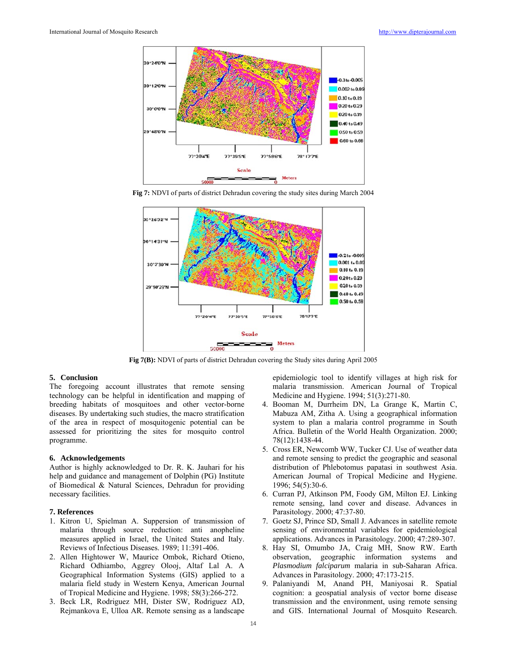

**Fig 7:** NDVI of parts of district Dehradun covering the study sites during March 2004



**Fig 7(B):** NDVI of parts of district Dehradun covering the Study sites during April 2005

### **5. Conclusion**

The foregoing account illustrates that remote sensing technology can be helpful in identification and mapping of breeding habitats of mosquitoes and other vector-borne diseases. By undertaking such studies, the macro stratification of the area in respect of mosquitogenic potential can be assessed for prioritizing the sites for mosquito control programme.

#### **6. Acknowledgements**

Author is highly acknowledged to Dr. R. K. Jauhari for his help and guidance and management of Dolphin (PG) Institute of Biomedical & Natural Sciences, Dehradun for providing necessary facilities.

### **7. References**

- 1. Kitron U, Spielman A. Suppersion of transmission of malaria through source reduction: anti anopheline measures applied in Israel, the United States and Italy. Reviews of Infectious Diseases. 1989; 11:391-406.
- 2. Allen Hightower W, Maurice Ombok, Richard Otieno, Richard Odhiambo, Aggrey Olooj, Altaf Lal A. A Geographical Information Systems (GIS) applied to a malaria field study in Western Kenya, American Journal of Tropical Medicine and Hygiene. 1998; 58(3):266-272.
- 3. Beck LR, Rodriguez MH, Dister SW, Rodriguez AD, Rejmankova E, Ulloa AR. Remote sensing as a landscape

epidemiologic tool to identify villages at high risk for malaria transmission. American Journal of Tropical Medicine and Hygiene. 1994; 51(3):271-80.

- 4. Booman M, Durrheim DN, La Grange K, Martin C, Mabuza AM, Zitha A. Using a geographical information system to plan a malaria control programme in South Africa. Bulletin of the World Health Organization. 2000; 78(12):1438-44.
- 5. Cross ER, Newcomb WW, Tucker CJ. Use of weather data and remote sensing to predict the geographic and seasonal distribution of Phlebotomus papatasi in southwest Asia. American Journal of Tropical Medicine and Hygiene. 1996; 54(5):30-6.
- 6. Curran PJ, Atkinson PM, Foody GM, Milton EJ. Linking remote sensing, land cover and disease. Advances in Parasitology. 2000; 47:37-80.
- 7. Goetz SJ, Prince SD, Small J. Advances in satellite remote sensing of environmental variables for epidemiological applications. Advances in Parasitology. 2000; 47:289-307.
- 8. Hay SI, Omumbo JA, Craig MH, Snow RW. Earth observation, geographic information systems and *Plasmodium falciparum* malaria in sub-Saharan Africa. Advances in Parasitology. 2000; 47:173-215.
- 9. Palaniyandi M, Anand PH, Maniyosai R. Spatial cognition: a geospatial analysis of vector borne disease transmission and the environment, using remote sensing and GIS. International Journal of Mosquito Research.